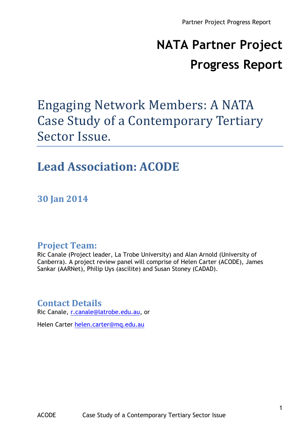# **NATA Partner Project Progress Report**

## Engaging Network Members: A NATA Case Study of a Contemporary Tertiary Sector Issue.

#### Lead Association: **ACODE**

**30 Jan 2014**

#### **Project Team:**

Ric Canale (Project leader, La Trobe University) and Alan Arnold (University of Canberra). A project review panel will comprise of Helen Carter (ACODE), James Sankar (AARNet), Philip Uys (ascilite) and Susan Stoney (CADAD).

#### **Contact Details**

Ric Canale, r.canale@latrobe.edu.au, or

Helen Carter helen.carter@mq.edu.au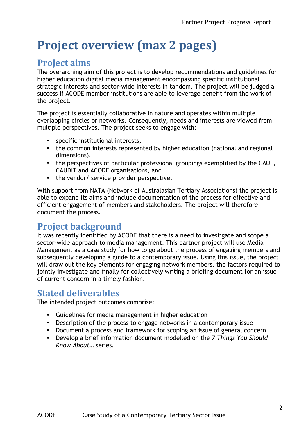## **Project overview (max 2 pages)**

#### **Project aims**

The overarching aim of this project is to develop recommendations and guidelines for higher education digital media management encompassing specific institutional strategic interests and sector-wide interests in tandem. The project will be judged a success if ACODE member institutions are able to leverage benefit from the work of the project.

The project is essentially collaborative in nature and operates within multiple overlapping circles or networks. Consequently, needs and interests are viewed from multiple perspectives. The project seeks to engage with:

- specific institutional interests,
- the common interests represented by higher education (national and regional dimensions),
- the perspectives of particular professional groupings exemplified by the CAUL, CAUDIT and ACODE organisations, and
- the vendor/ service provider perspective.

With support from NATA (Network of Australasian Tertiary Associations) the project is able to expand its aims and include documentation of the process for effective and efficient engagement of members and stakeholders. The project will therefore document the process.

#### **Project background**

It was recently identified by ACODE that there is a need to investigate and scope a sector-wide approach to media management. This partner project will use Media Management as a case study for how to go about the process of engaging members and subsequently developing a guide to a contemporary issue. Using this issue, the project will draw out the key elements for engaging network members, the factors required to jointly investigate and finally for collectively writing a briefing document for an issue of current concern in a timely fashion.

#### **Stated deliverables**

The intended project outcomes comprise:

- Guidelines for media management in higher education
- Description of the process to engage networks in a contemporary issue
- Document a process and framework for scoping an issue of general concern
- Develop a brief information document modelled on the *7 Things You Should Know About…* series.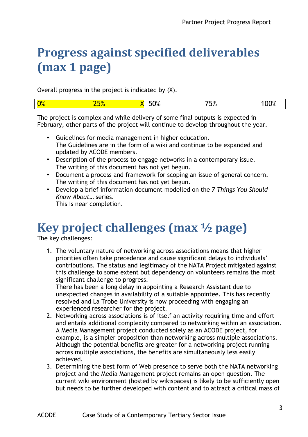## **Progress against specified deliverables (max 1 page)**

Overall progress in the project is indicated by (X).

|  | 0% |  | $\sim$<br>$\cdot$<br>$\overline{\phantom{a}}$ | →⊏0⁄<br>ס/ ו<br>. . |  |
|--|----|--|-----------------------------------------------|---------------------|--|
|--|----|--|-----------------------------------------------|---------------------|--|

The project is complex and while delivery of some final outputs is expected in February, other parts of the project will continue to develop throughout the year.

- Guidelines for media management in higher education. The Guidelines are in the form of a wiki and continue to be expanded and updated by ACODE members.
- Description of the process to engage networks in a contemporary issue. The writing of this document has not yet begun.
- Document a process and framework for scoping an issue of general concern. The writing of this document has not yet begun.
- Develop a brief information document modelled on the *7 Things You Should Know About…* series. This is near completion.

## Key project challenges (max  $\frac{1}{2}$  page)

The key challenges:

1. The voluntary nature of networking across associations means that higher priorities often take precedence and cause significant delays to individuals' contributions. The status and legitimacy of the NATA Project mitigated against this challenge to some extent but dependency on volunteers remains the most significant challenge to progress.

There has been a long delay in appointing a Research Assistant due to unexpected changes in availability of a suitable appointee. This has recently resolved and La Trobe University is now proceeding with engaging an experienced researcher for the project.

- 2. Networking across associations is of itself an activity requiring time and effort and entails additional complexity compared to networking within an association. A Media Management project conducted solely as an ACODE project, for example, is a simpler proposition than networking across multiple associations. Although the potential benefits are greater for a networking project running across multiple associations, the benefits are simultaneously less easily achieved.
- 3. Determining the best form of Web presence to serve both the NATA networking project and the Media Management project remains an open question. The current wiki environment (hosted by wikispaces) is likely to be sufficiently open but needs to be further developed with content and to attract a critical mass of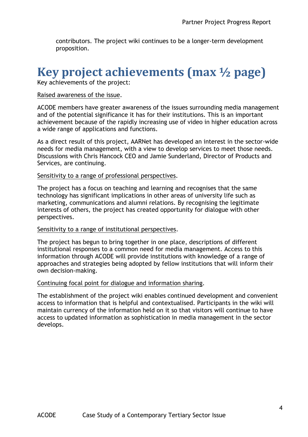contributors. The project wiki continues to be a longer-term development proposition.

### **Key project achievements (max**  $\frac{1}{2}$  **page)**

Key achievements of the project:

#### Raised awareness of the issue.

ACODE members have greater awareness of the issues surrounding media management and of the potential significance it has for their institutions. This is an important achievement because of the rapidly increasing use of video in higher education across a wide range of applications and functions.

As a direct result of this project, AARNet has developed an interest in the sector-wide needs for media management, with a view to develop services to meet those needs. Discussions with Chris Hancock CEO and Jamie Sunderland, Director of Products and Services, are continuing.

#### Sensitivity to a range of professional perspectives.

The project has a focus on teaching and learning and recognises that the same technology has significant implications in other areas of university life such as marketing, communications and alumni relations. By recognising the legitimate interests of others, the project has created opportunity for dialogue with other perspectives.

#### Sensitivity to a range of institutional perspectives.

The project has begun to bring together in one place, descriptions of different institutional responses to a common need for media management. Access to this information through ACODE will provide institutions with knowledge of a range of approaches and strategies being adopted by fellow institutions that will inform their own decision-making.

#### Continuing focal point for dialogue and information sharing.

The establishment of the project wiki enables continued development and convenient access to information that is helpful and contextualised. Participants in the wiki will maintain currency of the information held on it so that visitors will continue to have access to updated information as sophistication in media management in the sector develops.